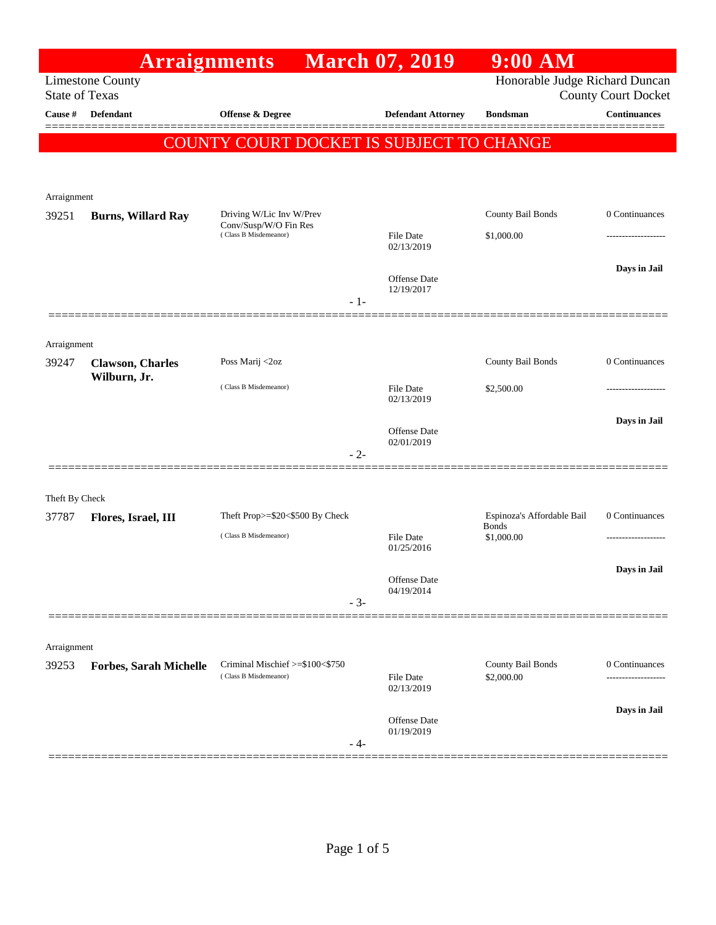|                       | <b>Arraignments</b>                      |                                                          | <b>March 07, 2019</b>             | $9:00$ AM                                  |                               |
|-----------------------|------------------------------------------|----------------------------------------------------------|-----------------------------------|--------------------------------------------|-------------------------------|
| <b>State of Texas</b> | <b>Limestone County</b>                  |                                                          |                                   | Honorable Judge Richard Duncan             | <b>County Court Docket</b>    |
| Cause #               | <b>Defendant</b>                         | Offense & Degree                                         | <b>Defendant Attorney</b>         | <b>Bondsman</b>                            | <b>Continuances</b><br>====== |
|                       |                                          | COUNTY COURT DOCKET IS SUBJECT TO CHANGE                 |                                   |                                            |                               |
|                       |                                          |                                                          |                                   |                                            |                               |
| Arraignment           |                                          |                                                          |                                   |                                            |                               |
| 39251                 | <b>Burns, Willard Ray</b>                | Driving W/Lic Inv W/Prev<br>Conv/Susp/W/O Fin Res        |                                   | County Bail Bonds                          | 0 Continuances                |
|                       |                                          | (Class B Misdemeanor)                                    | <b>File Date</b><br>02/13/2019    | \$1,000.00                                 |                               |
|                       |                                          |                                                          | <b>Offense</b> Date               |                                            | Days in Jail                  |
|                       |                                          | $-1-$                                                    | 12/19/2017                        |                                            |                               |
|                       |                                          |                                                          |                                   |                                            |                               |
| Arraignment           |                                          |                                                          |                                   |                                            |                               |
| 39247                 | <b>Clawson</b> , Charles<br>Wilburn, Jr. | Poss Marij <2oz                                          |                                   | County Bail Bonds                          | 0 Continuances                |
|                       |                                          | (Class B Misdemeanor)                                    | <b>File Date</b><br>02/13/2019    | \$2,500.00                                 |                               |
|                       |                                          |                                                          |                                   |                                            | Days in Jail                  |
|                       |                                          | $-2-$                                                    | <b>Offense</b> Date<br>02/01/2019 |                                            |                               |
|                       |                                          |                                                          |                                   |                                            |                               |
| Theft By Check        |                                          |                                                          |                                   |                                            |                               |
| 37787                 | Flores, Israel, III                      | Theft Prop>=\$20<\$500 By Check                          |                                   | Espinoza's Affordable Bail<br><b>Bonds</b> | 0 Continuances                |
|                       |                                          | (Class B Misdemeanor)                                    | <b>File Date</b><br>01/25/2016    | \$1,000.00                                 |                               |
|                       |                                          |                                                          | Offense Date                      |                                            | Days in Jail                  |
|                       |                                          | $-3-$                                                    | 04/19/2014                        |                                            |                               |
|                       |                                          |                                                          |                                   |                                            |                               |
| Arraignment           |                                          |                                                          |                                   |                                            |                               |
| 39253                 | <b>Forbes, Sarah Michelle</b>            | Criminal Mischief >=\$100<\$750<br>(Class B Misdemeanor) | <b>File Date</b>                  | County Bail Bonds<br>\$2,000.00            | 0 Continuances                |
|                       |                                          |                                                          | 02/13/2019                        |                                            |                               |
|                       |                                          |                                                          | <b>Offense</b> Date               |                                            | Days in Jail                  |
|                       |                                          | - 4-                                                     | 01/19/2019                        |                                            |                               |
|                       |                                          |                                                          |                                   |                                            |                               |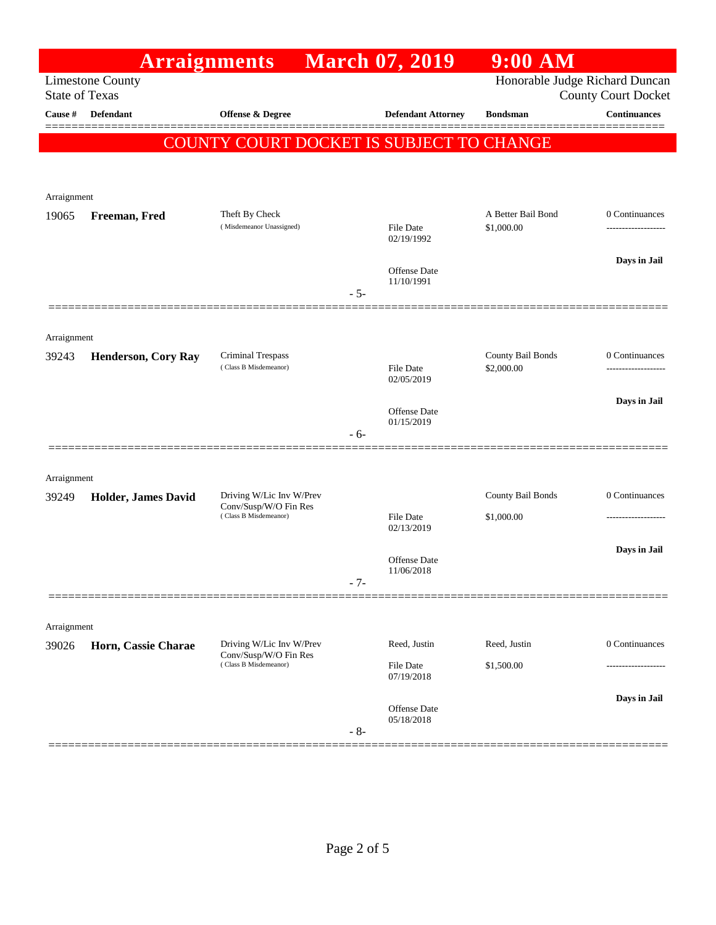|                       | <b>Arraignments</b>        |                                                |       | <b>March 07, 2019</b>          | $9:00$ AM                       |                                            |
|-----------------------|----------------------------|------------------------------------------------|-------|--------------------------------|---------------------------------|--------------------------------------------|
| <b>State of Texas</b> | <b>Limestone County</b>    |                                                |       |                                | Honorable Judge Richard Duncan  |                                            |
| Cause #               | <b>Defendant</b>           | <b>Offense &amp; Degree</b>                    |       | <b>Defendant Attorney</b>      | <b>Bondsman</b>                 | <b>County Court Docket</b><br>Continuances |
|                       |                            |                                                |       |                                |                                 | 3 = = = = = =                              |
|                       |                            | COUNTY COURT DOCKET IS SUBJECT TO CHANGE       |       |                                |                                 |                                            |
|                       |                            |                                                |       |                                |                                 |                                            |
| Arraignment           |                            |                                                |       |                                |                                 |                                            |
| 19065                 | Freeman, Fred              | Theft By Check                                 |       |                                | A Better Bail Bond              | 0 Continuances                             |
|                       |                            | (Misdemeanor Unassigned)                       |       | <b>File Date</b><br>02/19/1992 | \$1,000.00                      | ----------------                           |
|                       |                            |                                                |       |                                |                                 | Days in Jail                               |
|                       |                            |                                                |       | Offense Date<br>11/10/1991     |                                 |                                            |
|                       |                            |                                                | $-5-$ |                                |                                 |                                            |
|                       |                            |                                                |       |                                |                                 |                                            |
| Arraignment           |                            |                                                |       |                                |                                 |                                            |
| 39243                 | <b>Henderson, Cory Ray</b> | Criminal Trespass<br>(Class B Misdemeanor)     |       | <b>File Date</b>               | County Bail Bonds<br>\$2,000.00 | 0 Continuances<br>---------------          |
|                       |                            |                                                |       | 02/05/2019                     |                                 |                                            |
|                       |                            |                                                |       | Offense Date                   |                                 | Days in Jail                               |
|                       |                            |                                                | $-6-$ | 01/15/2019                     |                                 |                                            |
|                       |                            |                                                |       |                                |                                 |                                            |
| Arraignment           |                            |                                                |       |                                |                                 |                                            |
| 39249                 | Holder, James David        | Driving W/Lic Inv W/Prev                       |       |                                | County Bail Bonds               | 0 Continuances                             |
|                       |                            | Conv/Susp/W/O Fin Res<br>(Class B Misdemeanor) |       | <b>File Date</b>               | \$1,000.00                      |                                            |
|                       |                            |                                                |       | 02/13/2019                     |                                 |                                            |
|                       |                            |                                                |       | Offense Date                   |                                 | Days in Jail                               |
|                       |                            |                                                | $-7-$ | 11/06/2018                     |                                 |                                            |
|                       |                            |                                                |       |                                |                                 |                                            |
| Arraignment           |                            |                                                |       |                                |                                 |                                            |
| 39026                 | Horn, Cassie Charae        | Driving W/Lic Inv W/Prev                       |       | Reed, Justin                   | Reed, Justin                    | 0 Continuances                             |
|                       |                            | Conv/Susp/W/O Fin Res<br>(Class B Misdemeanor) |       | <b>File Date</b>               | \$1,500.00                      | ------------------                         |
|                       |                            |                                                |       | 07/19/2018                     |                                 |                                            |
|                       |                            |                                                |       | Offense Date                   |                                 | Days in Jail                               |
|                       |                            |                                                | $-8-$ | 05/18/2018                     |                                 |                                            |
|                       |                            |                                                |       |                                |                                 |                                            |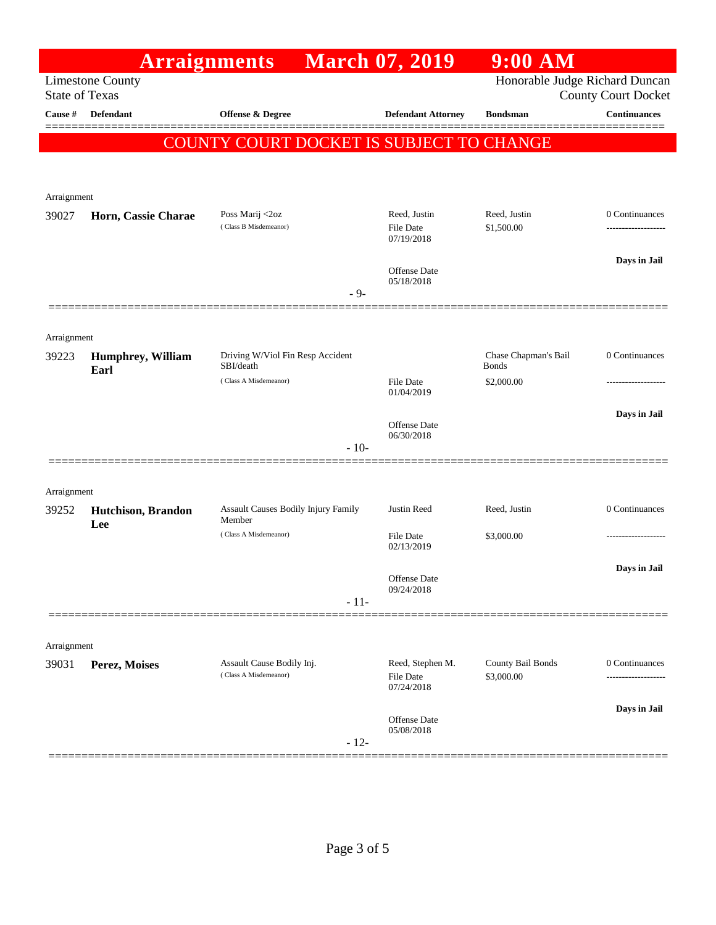|                       | <b>Arraignments</b>               |                                               | <b>March 07, 2019</b>          | $9:00$ AM                      |                            |
|-----------------------|-----------------------------------|-----------------------------------------------|--------------------------------|--------------------------------|----------------------------|
| <b>State of Texas</b> | <b>Limestone County</b>           |                                               |                                | Honorable Judge Richard Duncan | <b>County Court Docket</b> |
| Cause #               | Defendant                         | Offense & Degree                              | <b>Defendant Attorney</b>      | <b>Bondsman</b>                | <b>Continuances</b>        |
|                       |                                   | COUNTY COURT DOCKET IS SUBJECT TO CHANGE      |                                |                                |                            |
|                       |                                   |                                               |                                |                                |                            |
| Arraignment           |                                   |                                               |                                |                                |                            |
| 39027                 | Horn, Cassie Charae               | Poss Marij <2oz                               | Reed, Justin                   | Reed, Justin                   | 0 Continuances             |
|                       |                                   | (Class B Misdemeanor)                         | <b>File Date</b><br>07/19/2018 | \$1,500.00                     | -----------------          |
|                       |                                   |                                               |                                |                                | Days in Jail               |
|                       |                                   |                                               | Offense Date<br>05/18/2018     |                                |                            |
|                       |                                   | $-9-$                                         |                                |                                |                            |
| Arraignment           |                                   |                                               |                                |                                |                            |
| 39223                 | <b>Humphrey, William</b>          | Driving W/Viol Fin Resp Accident              |                                | Chase Chapman's Bail           | 0 Continuances             |
|                       | Earl                              | SBI/death<br>(Class A Misdemeanor)            | <b>File Date</b>               | <b>Bonds</b><br>\$2,000.00     |                            |
|                       |                                   |                                               | 01/04/2019                     |                                |                            |
|                       |                                   |                                               | Offense Date                   |                                | Days in Jail               |
|                       |                                   | $-10-$                                        | 06/30/2018                     |                                |                            |
|                       |                                   |                                               |                                |                                |                            |
| Arraignment           |                                   |                                               |                                |                                |                            |
| 39252                 | <b>Hutchison</b> , Brandon<br>Lee | Assault Causes Bodily Injury Family<br>Member | Justin Reed                    | Reed, Justin                   | 0 Continuances             |
|                       |                                   | (Class A Misdemeanor)                         | <b>File Date</b><br>02/13/2019 | \$3,000.00                     | ----------------           |
|                       |                                   |                                               |                                |                                | Days in Jail               |
|                       |                                   |                                               | Offense Date<br>09/24/2018     |                                |                            |
|                       |                                   | $-11-$                                        |                                |                                |                            |
|                       |                                   |                                               |                                |                                |                            |
| Arraignment           |                                   | Assault Cause Bodily Inj.                     | Reed, Stephen M.               | County Bail Bonds              | 0 Continuances             |
| 39031                 | Perez, Moises                     | (Class A Misdemeanor)                         | <b>File Date</b>               | \$3,000.00                     |                            |
|                       |                                   |                                               | 07/24/2018                     |                                | Days in Jail               |
|                       |                                   |                                               | Offense Date<br>05/08/2018     |                                |                            |
|                       |                                   | $-12-$                                        |                                |                                |                            |
|                       |                                   |                                               |                                |                                |                            |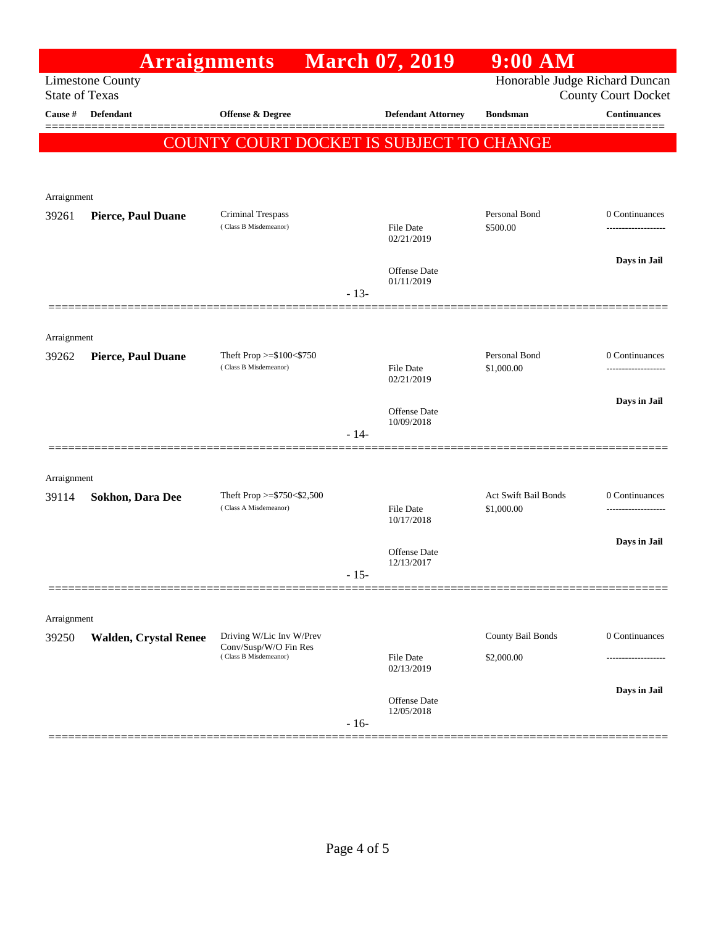|                       | <b>Arraignments</b>          |                                                                            |        | <b>March 07, 2019</b>          | $9:00$ AM                          |                                    |
|-----------------------|------------------------------|----------------------------------------------------------------------------|--------|--------------------------------|------------------------------------|------------------------------------|
| <b>State of Texas</b> | <b>Limestone County</b>      |                                                                            |        |                                | Honorable Judge Richard Duncan     | <b>County Court Docket</b>         |
| Cause #               | <b>Defendant</b>             | <b>Offense &amp; Degree</b>                                                |        | <b>Defendant Attorney</b>      | <b>Bondsman</b>                    | Continuances                       |
|                       |                              | COUNTY COURT DOCKET IS SUBJECT TO CHANGE                                   |        |                                |                                    | 3 = = = = = =                      |
|                       |                              |                                                                            |        |                                |                                    |                                    |
|                       |                              |                                                                            |        |                                |                                    |                                    |
| Arraignment           |                              |                                                                            |        |                                |                                    |                                    |
| 39261                 | <b>Pierce, Paul Duane</b>    | Criminal Trespass<br>(Class B Misdemeanor)                                 |        | <b>File Date</b>               | Personal Bond<br>\$500.00          | 0 Continuances<br>---------------- |
|                       |                              |                                                                            |        | 02/21/2019                     |                                    |                                    |
|                       |                              |                                                                            |        | Offense Date                   |                                    | Days in Jail                       |
|                       |                              |                                                                            | $-13-$ | 01/11/2019                     |                                    |                                    |
|                       |                              |                                                                            |        |                                |                                    |                                    |
| Arraignment           |                              |                                                                            |        |                                |                                    |                                    |
| 39262                 | Pierce, Paul Duane           | Theft Prop $>= $100 < $750$<br>(Class B Misdemeanor)                       |        | <b>File Date</b>               | Personal Bond<br>\$1,000.00        | 0 Continuances<br>---------------  |
|                       |                              |                                                                            |        | 02/21/2019                     |                                    |                                    |
|                       |                              |                                                                            |        | <b>Offense Date</b>            |                                    | Days in Jail                       |
|                       |                              |                                                                            | $-14-$ | 10/09/2018                     |                                    |                                    |
|                       |                              |                                                                            |        |                                |                                    |                                    |
| Arraignment           |                              |                                                                            |        |                                |                                    |                                    |
| 39114                 | <b>Sokhon, Dara Dee</b>      | Theft Prop $>=$ \$750 < \$2,500<br>(Class A Misdemeanor)                   |        | <b>File Date</b>               | Act Swift Bail Bonds<br>\$1,000.00 | 0 Continuances<br>---------------  |
|                       |                              |                                                                            |        | 10/17/2018                     |                                    |                                    |
|                       |                              |                                                                            |        | Offense Date                   |                                    | Days in Jail                       |
|                       |                              |                                                                            | $-15-$ | 12/13/2017                     |                                    |                                    |
|                       |                              |                                                                            |        |                                |                                    |                                    |
| Arraignment           |                              |                                                                            |        |                                |                                    |                                    |
| 39250                 | <b>Walden, Crystal Renee</b> | Driving W/Lic Inv W/Prev<br>Conv/Susp/W/O Fin Res<br>(Class B Misdemeanor) |        |                                | County Bail Bonds                  | 0 Continuances                     |
|                       |                              |                                                                            |        | <b>File Date</b><br>02/13/2019 | \$2,000.00                         |                                    |
|                       |                              |                                                                            |        |                                |                                    | Days in Jail                       |
|                       |                              |                                                                            |        | Offense Date<br>12/05/2018     |                                    |                                    |
|                       |                              |                                                                            | $-16-$ |                                |                                    |                                    |